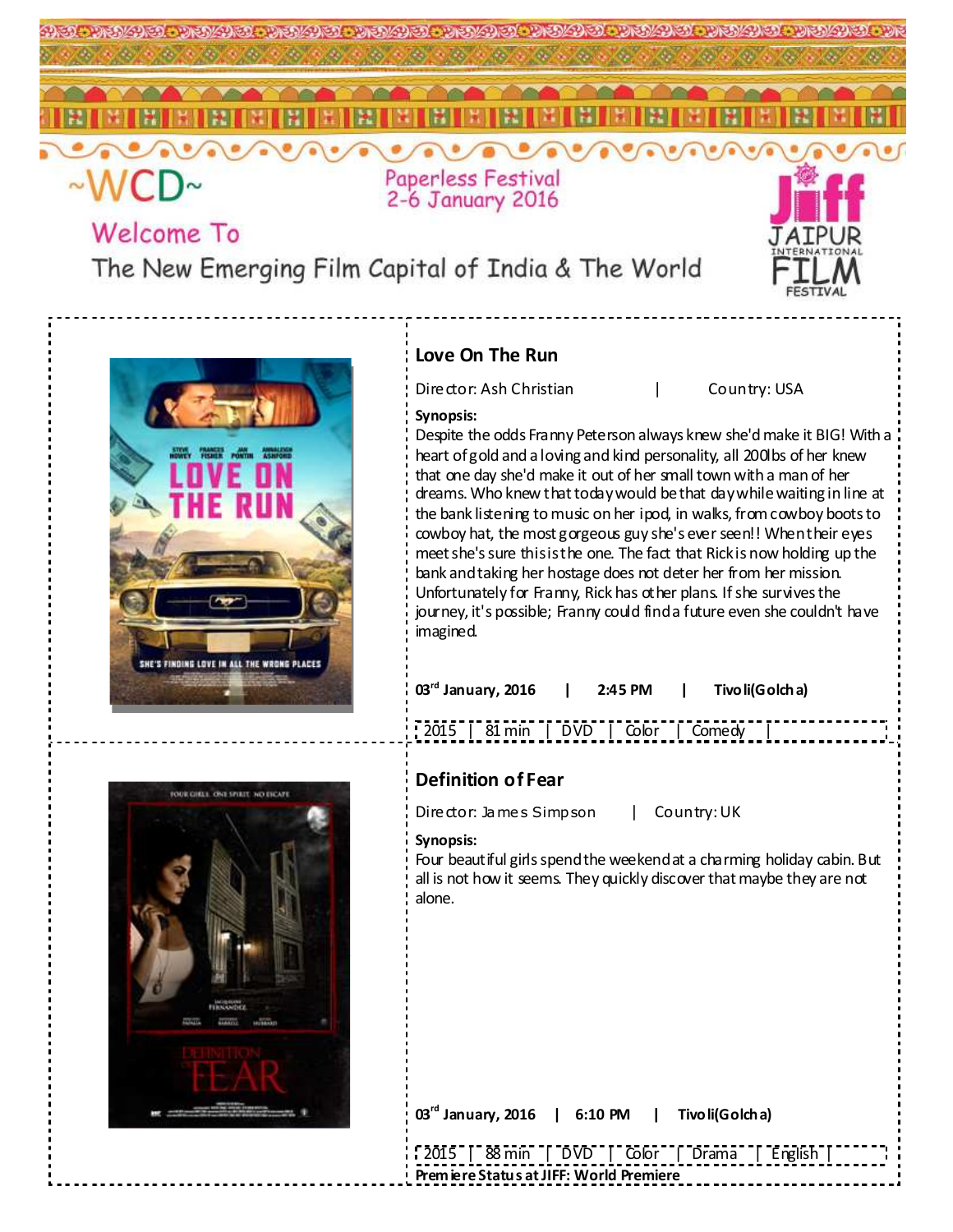

# **Welcome To**

The New Emerging Film Capital of India & The World



### **Love On The Run**

Director: Ash Christian | Country: USA

### **Synopsis:**

Despite the odds Franny Peterson always knew she'd make it BIG! With a heart of gold and a loving and kind personality, all 200lbs of her knew that one day she'd make it out of her small town with a man of her dreams. Who knew that today would be that day while waiting in line at the bank listening to music on her ipod, in walks, from cowboy boots to cowboy hat, the most gorgeous guy she's ever seen!! When their eyes meet she's sure this is the one. The fact that Rick is now holding up the bank and taking her hostage does not deter her from her mission. Unfortunately for Franny, Rick has other plans. If she survives the journey, it's possible; Franny could find a future even she couldn't have imagined.

| $03rd$ January, 2016   2:45 PM   Tivo li(Golcha) |                                      |  |  |  |
|--------------------------------------------------|--------------------------------------|--|--|--|
|                                                  | 2015   81 min   DVD   Color   Comedy |  |  |  |



## **Definition of Fear**

Director: James Simpson | Country: UK

#### **Synopsis:**

Four beautiful girls spend the weekend at a charming holiday cabin. But all is not how it seems. They quickly discover that maybe they are not alone.

| $03rd$ January, 2016   6:10 PM   Tivo li(Golcha) |  |
|--------------------------------------------------|--|
| [2015   88 min   DVD   Color   Drama   English   |  |

**Premiere Status at JIFF: World Premiere**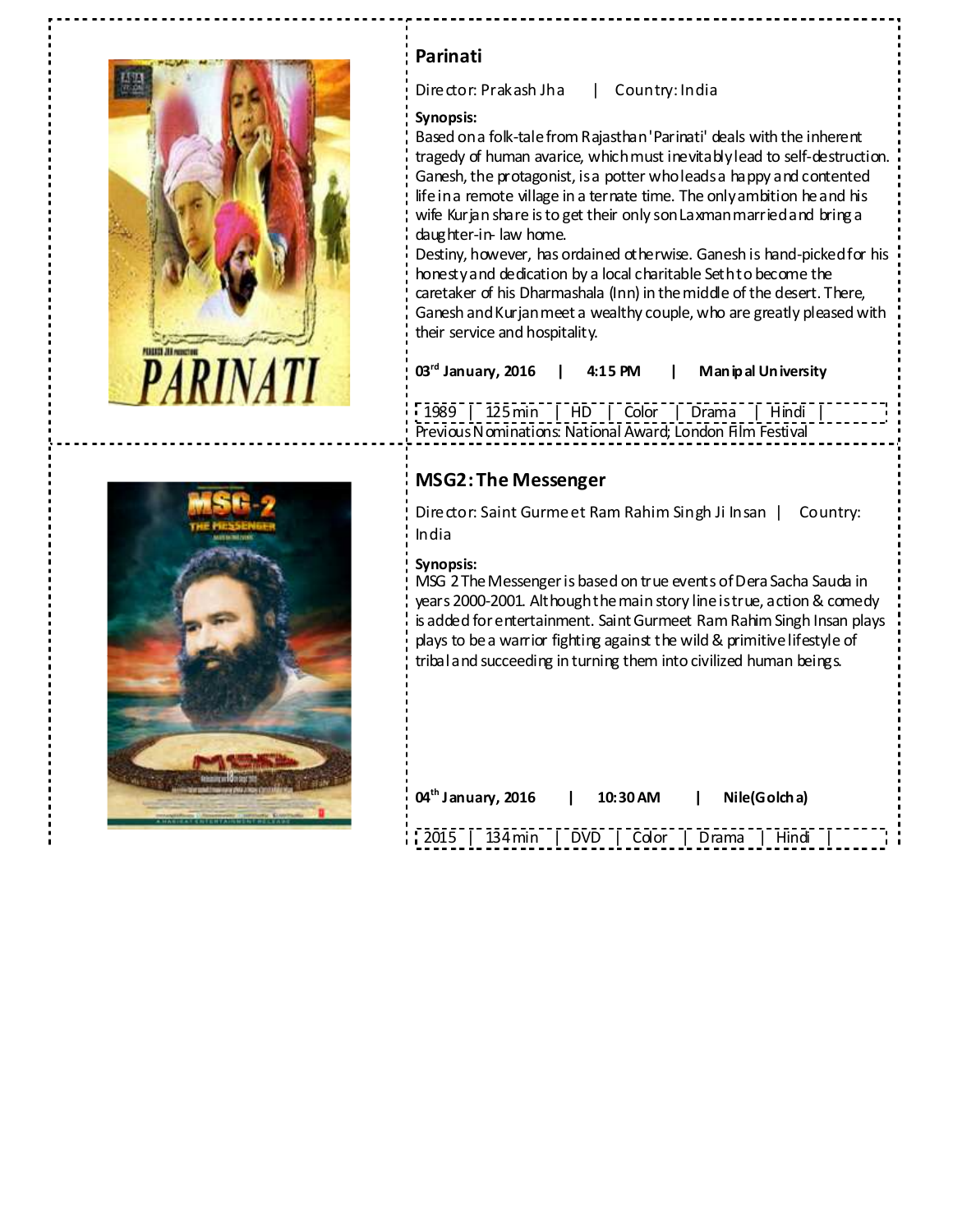



### **Parinati**

Director: Prakash Jha | Country: India

#### **Synopsis:**

Based on a folk-tale from Rajasthan 'Parinati' deals with the inherent tragedy of human avarice, which must inevitably lead to self-destruction. Ganesh, the protagonist, is a potter who leads a happy and contented life in a remote village in a ternate time. The only ambition he and his wife Kurjan share is to get their only son Laxman married and bring a daughter-in- law home.

Destiny, however, has ordained otherwise. Ganesh is hand-picked for his honesty and dedication by a local charitable Seth to become the caretaker of his Dharmashala (Inn) in the middle of the desert. There, Ganesh and Kurjan meet a wealthy couple, who are greatly pleased with their service and hospitality.

**03rd January, 2016 | 4:15 PM | Manipal University** 

1989 | 125 min | HD | Color | Drama | Hindi | Previous Nominations: National Award; London Film Festival

### **MSG2: The Messenger**

Director: Saint Gurmeet Ram Rahim Singh Ji Insan | Country: India

### **Synopsis:**

MSG 2 The Messenger is based on true events of Dera Sacha Sauda in years 2000-2001. Although the main story line is true, action & comedy is added for entertainment. Saint Gurmeet Ram Rahim Singh Insan plays plays to be a warrior fighting against the wild & primitive lifestyle of tribal and succeeding in turning them into civilized human beings.

| 04 <sup>th</sup> January, 2016               | 10:30 AM I | Nile(Golcha) |  |
|----------------------------------------------|------------|--------------|--|
| 2015   134 min   DVD   Color   Drama   Hindi |            |              |  |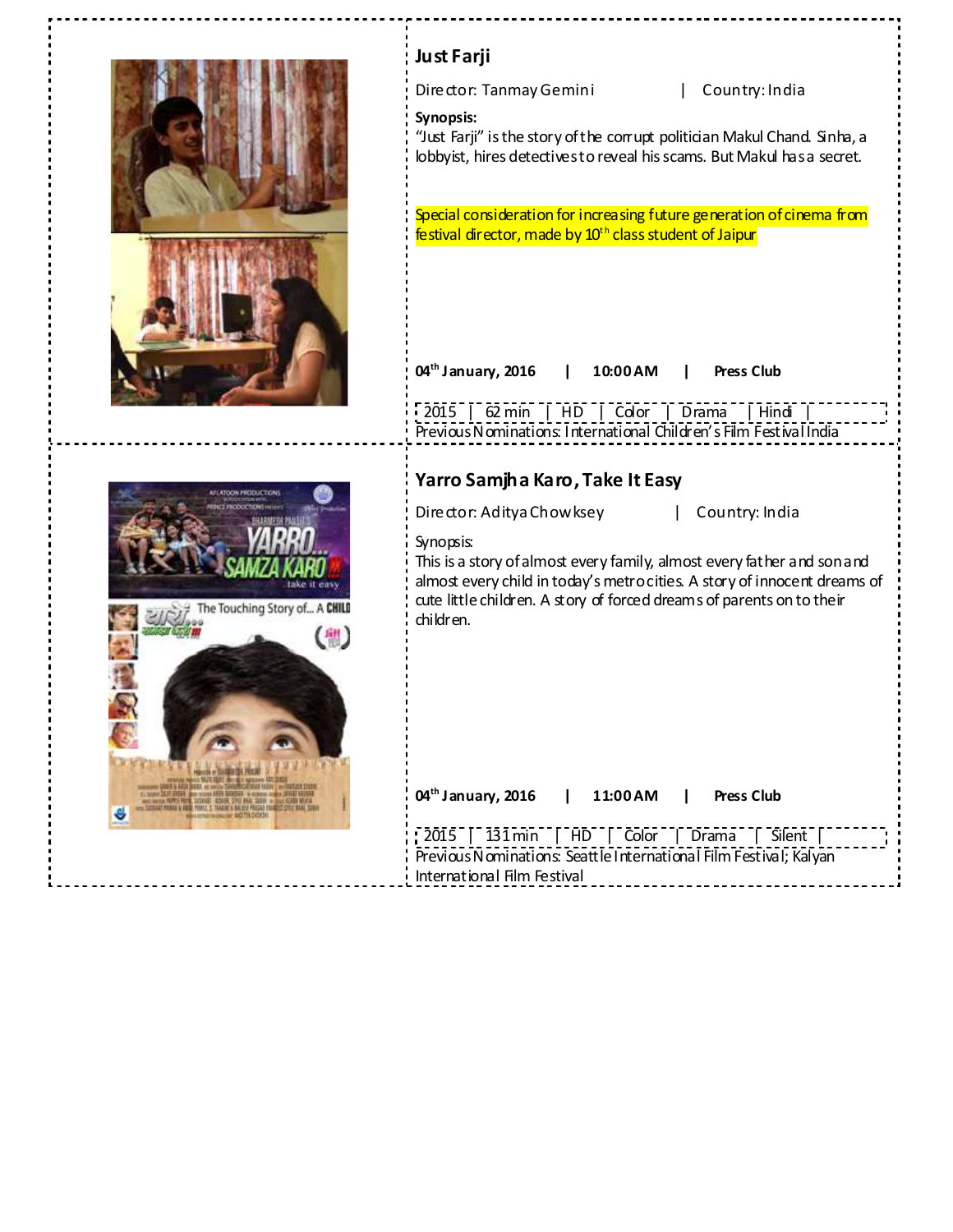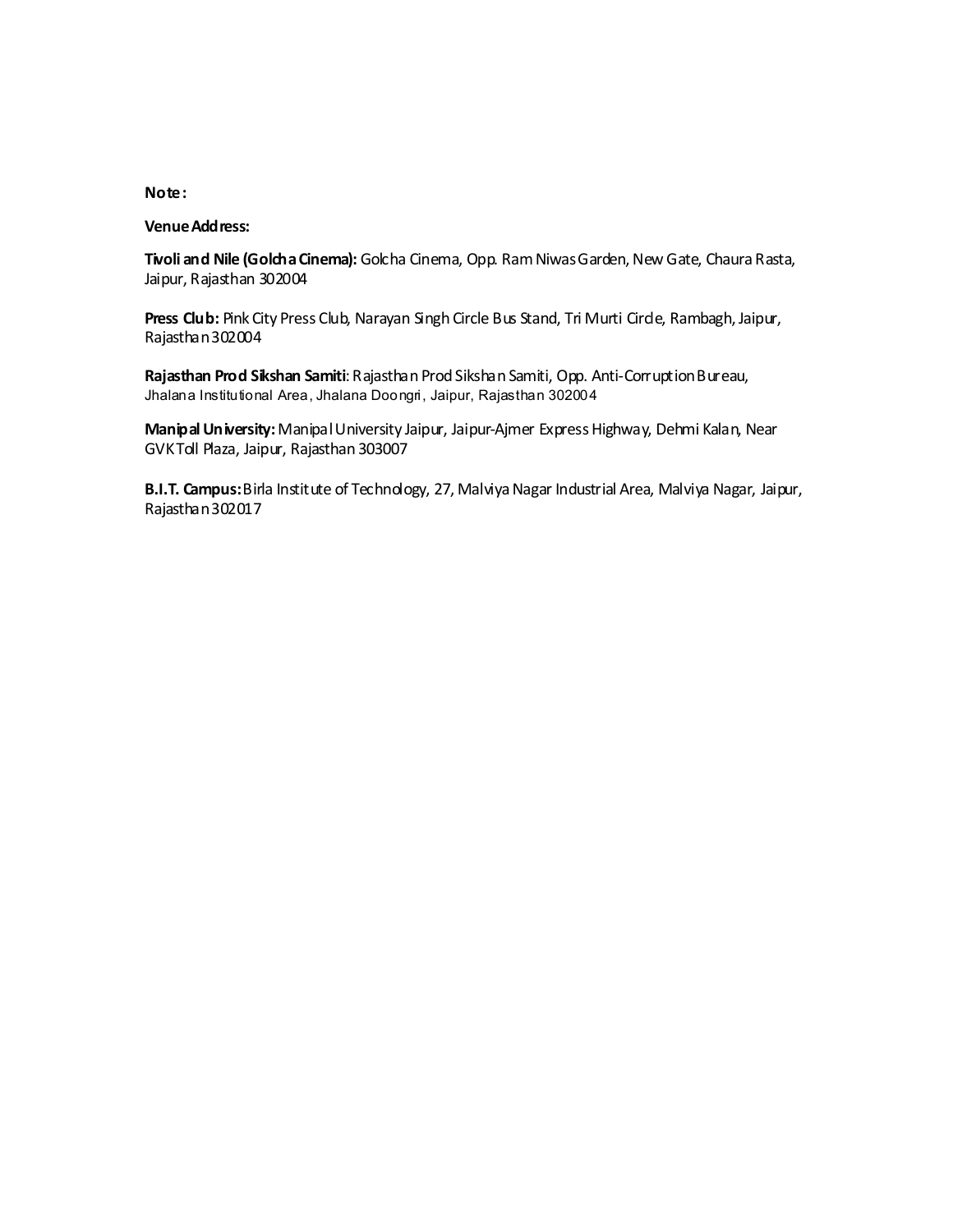#### **Note:**

#### **Venue Address:**

**Tivoli and Nile (Golcha Cinema):** Golcha Cinema, Opp. Ram Niwas Garden, New Gate, Chaura Rasta, Jaipur, Rajasthan 302004

Press Club: Pink City Press Club, Narayan Singh Circle Bus Stand, Tri Murti Circle, Rambagh, Jaipur, Rajasthan 302004

**Rajasthan Prod Sikshan Samiti**: Rajasthan Prod Sikshan Samiti, Opp. Anti-Corruption Bureau, Jhalana Institutional Area, Jhalana Doongri, Jaipur, Rajasthan 302004

**Manipal University:** Manipal University Jaipur, Jaipur-Ajmer Express Highway, Dehmi Kalan, Near GVK Toll Plaza, Jaipur, Rajasthan 303007

**B.I.T. Campus:** Birla Institute of Technology, 27, Malviya Nagar Industrial Area, Malviya Nagar, Jaipur, Rajasthan 302017